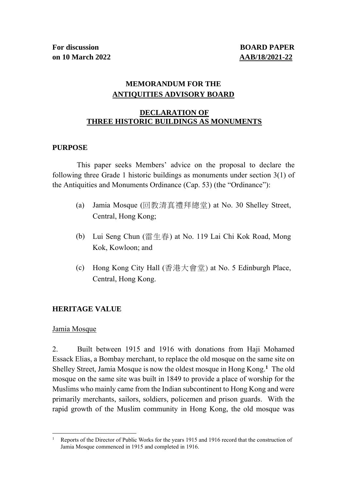**For discussion BOARD PAPER on 10 March 2022 AAB/18/2021-22**

# **MEMORANDUM FOR THE ANTIQUITIES ADVISORY BOARD**

## **DECLARATION OF THREE HISTORIC BUILDINGS AS MONUMENTS**

## **PURPOSE**

This paper seeks Members' advice on the proposal to declare the following three Grade 1 historic buildings as monuments under section 3(1) of the Antiquities and Monuments Ordinance (Cap. 53) (the "Ordinance"):

- (a) Jamia Mosque (回教清真禮拜總堂) at No. 30 Shelley Street, Central, Hong Kong;
- (b) Lui Seng Chun (雷生春) at No. 119 Lai Chi Kok Road, Mong Kok, Kowloon; and
- (c) Hong Kong City Hall (香港大會堂) at No. 5 Edinburgh Place, Central, Hong Kong.

## **HERITAGE VALUE**

## Jamia Mosque

2. Built between 1915 and 1916 with donations from Haji Mohamed Essack Elias, a Bombay merchant, to replace the old mosque on the same site on Shelley Street, Jamia Mosque is now the oldest mosque in Hong Kong. **<sup>1</sup>** The old mosque on the same site was built in 1849 to provide a place of worship for the Muslims who mainly came from the Indian subcontinent to Hong Kong and were primarily merchants, sailors, soldiers, policemen and prison guards. With the rapid growth of the Muslim community in Hong Kong, the old mosque was

<sup>&</sup>lt;sup>1</sup> Reports of the Director of Public Works for the years 1915 and 1916 record that the construction of Jamia Mosque commenced in 1915 and completed in 1916.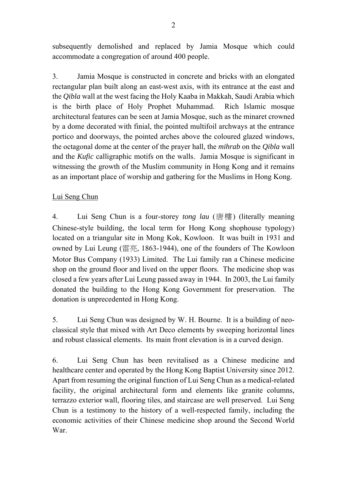subsequently demolished and replaced by Jamia Mosque which could accommodate a congregation of around 400 people.

3. Jamia Mosque is constructed in concrete and bricks with an elongated rectangular plan built along an east-west axis, with its entrance at the east and the *Qibla* wall at the west facing the Holy Kaaba in Makkah, Saudi Arabia which is the birth place of Holy Prophet Muhammad. Rich Islamic mosque architectural features can be seen at Jamia Mosque, such as the minaret crowned by a dome decorated with finial, the pointed multifoil archways at the entrance portico and doorways, the pointed arches above the coloured glazed windows, the octagonal dome at the center of the prayer hall, the *mihrab* on the *Qibla* wall and the *Kufic* calligraphic motifs on the walls. Jamia Mosque is significant in witnessing the growth of the Muslim community in Hong Kong and it remains as an important place of worship and gathering for the Muslims in Hong Kong.

# Lui Seng Chun

4. Lui Seng Chun is a four-storey *tong lau* (唐樓) (literally meaning Chinese-style building, the local term for Hong Kong shophouse typology) located on a triangular site in Mong Kok, Kowloon. It was built in 1931 and owned by Lui Leung (雷亮, 1863-1944), one of the founders of The Kowloon Motor Bus Company (1933) Limited. The Lui family ran a Chinese medicine shop on the ground floor and lived on the upper floors. The medicine shop was closed a few years after Lui Leung passed away in 1944. In 2003, the Lui family donated the building to the Hong Kong Government for preservation. The donation is unprecedented in Hong Kong.

5. Lui Seng Chun was designed by W. H. Bourne. It is a building of neoclassical style that mixed with Art Deco elements by sweeping horizontal lines and robust classical elements. Its main front elevation is in a curved design.

6. Lui Seng Chun has been revitalised as a Chinese medicine and healthcare center and operated by the Hong Kong Baptist University since 2012. Apart from resuming the original function of Lui Seng Chun as a medical-related facility, the original architectural form and elements like granite columns, terrazzo exterior wall, flooring tiles, and staircase are well preserved. Lui Seng Chun is a testimony to the history of a well-respected family, including the economic activities of their Chinese medicine shop around the Second World War.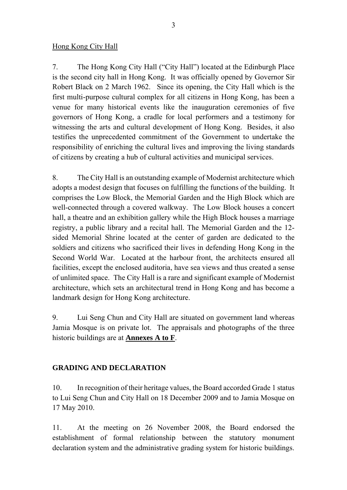## Hong Kong City Hall

7. The Hong Kong City Hall ("City Hall") located at the Edinburgh Place is the second city hall in Hong Kong. It was officially opened by Governor Sir Robert Black on 2 March 1962. Since its opening, the City Hall which is the first multi-purpose cultural complex for all citizens in Hong Kong, has been a venue for many historical events like the inauguration ceremonies of five governors of Hong Kong, a cradle for local performers and a testimony for witnessing the arts and cultural development of Hong Kong. Besides, it also testifies the unprecedented commitment of the Government to undertake the responsibility of enriching the cultural lives and improving the living standards of citizens by creating a hub of cultural activities and municipal services.

8. The City Hall is an outstanding example of Modernist architecture which adopts a modest design that focuses on fulfilling the functions of the building. It comprises the Low Block, the Memorial Garden and the High Block which are well-connected through a covered walkway. The Low Block houses a concert hall, a theatre and an exhibition gallery while the High Block houses a marriage registry, a public library and a recital hall. The Memorial Garden and the 12 sided Memorial Shrine located at the center of garden are dedicated to the soldiers and citizens who sacrificed their lives in defending Hong Kong in the Second World War. Located at the harbour front, the architects ensured all facilities, except the enclosed auditoria, have sea views and thus created a sense of unlimited space. The City Hall is a rare and significant example of Modernist architecture, which sets an architectural trend in Hong Kong and has become a landmark design for Hong Kong architecture.

9. Lui Seng Chun and City Hall are situated on government land whereas Jamia Mosque is on private lot. The appraisals and photographs of the three historic buildings are at **Annexes A to F**.

## **GRADING AND DECLARATION**

10. In recognition of their heritage values, the Board accorded Grade 1 status to Lui Seng Chun and City Hall on 18 December 2009 and to Jamia Mosque on 17 May 2010.

11. At the meeting on 26 November 2008, the Board endorsed the establishment of formal relationship between the statutory monument declaration system and the administrative grading system for historic buildings.